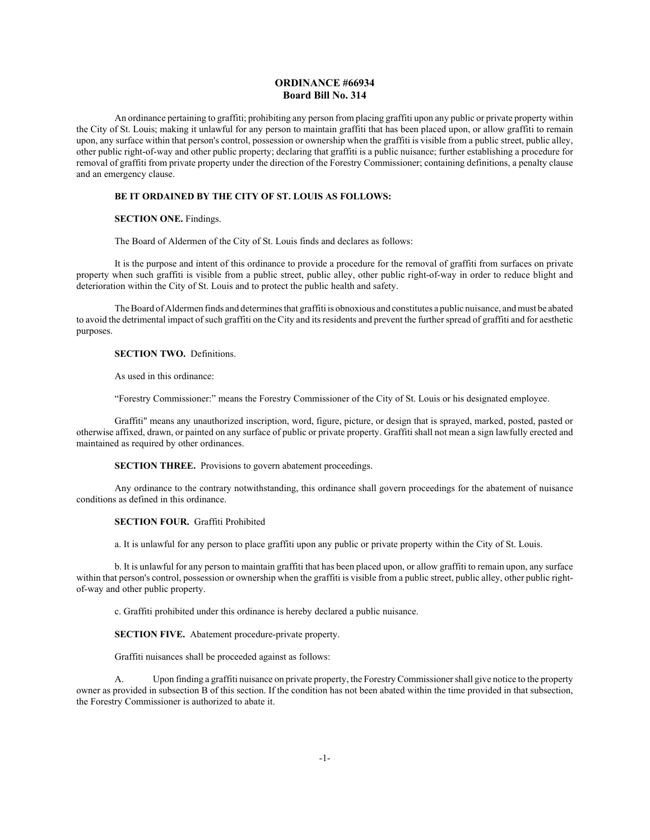# **ORDINANCE #66934 Board Bill No. 314**

An ordinance pertaining to graffiti; prohibiting any person from placing graffiti upon any public or private property within the City of St. Louis; making it unlawful for any person to maintain graffiti that has been placed upon, or allow graffiti to remain upon, any surface within that person's control, possession or ownership when the graffiti is visible from a public street, public alley, other public right-of-way and other public property; declaring that graffiti is a public nuisance; further establishing a procedure for removal of graffiti from private property under the direction of the Forestry Commissioner; containing definitions, a penalty clause and an emergency clause.

## **BE IT ORDAINED BY THE CITY OF ST. LOUIS AS FOLLOWS:**

#### **SECTION ONE.** Findings.

The Board of Aldermen of the City of St. Louis finds and declares as follows:

It is the purpose and intent of this ordinance to provide a procedure for the removal of graffiti from surfaces on private property when such graffiti is visible from a public street, public alley, other public right-of-way in order to reduce blight and deterioration within the City of St. Louis and to protect the public health and safety.

The Board of Aldermen finds and determines that graffiti is obnoxious and constitutes a public nuisance, and must be abated to avoid the detrimental impact of such graffiti on the City and its residents and prevent the further spread of graffiti and for aesthetic purposes.

### **SECTION TWO.** Definitions.

As used in this ordinance:

"Forestry Commissioner:" means the Forestry Commissioner of the City of St. Louis or his designated employee.

Graffiti" means any unauthorized inscription, word, figure, picture, or design that is sprayed, marked, posted, pasted or otherwise affixed, drawn, or painted on any surface of public or private property. Graffiti shall not mean a sign lawfully erected and maintained as required by other ordinances.

**SECTION THREE.** Provisions to govern abatement proceedings.

Any ordinance to the contrary notwithstanding, this ordinance shall govern proceedings for the abatement of nuisance conditions as defined in this ordinance.

# **SECTION FOUR.** Graffiti Prohibited

a. It is unlawful for any person to place graffiti upon any public or private property within the City of St. Louis.

b. It is unlawful for any person to maintain graffiti that has been placed upon, or allow graffiti to remain upon, any surface within that person's control, possession or ownership when the graffiti is visible from a public street, public alley, other public rightof-way and other public property.

c. Graffiti prohibited under this ordinance is hereby declared a public nuisance.

**SECTION FIVE.** Abatement procedure-private property.

Graffiti nuisances shall be proceeded against as follows:

A. Upon finding a graffiti nuisance on private property, the Forestry Commissioner shall give notice to the property owner as provided in subsection B of this section. If the condition has not been abated within the time provided in that subsection, the Forestry Commissioner is authorized to abate it.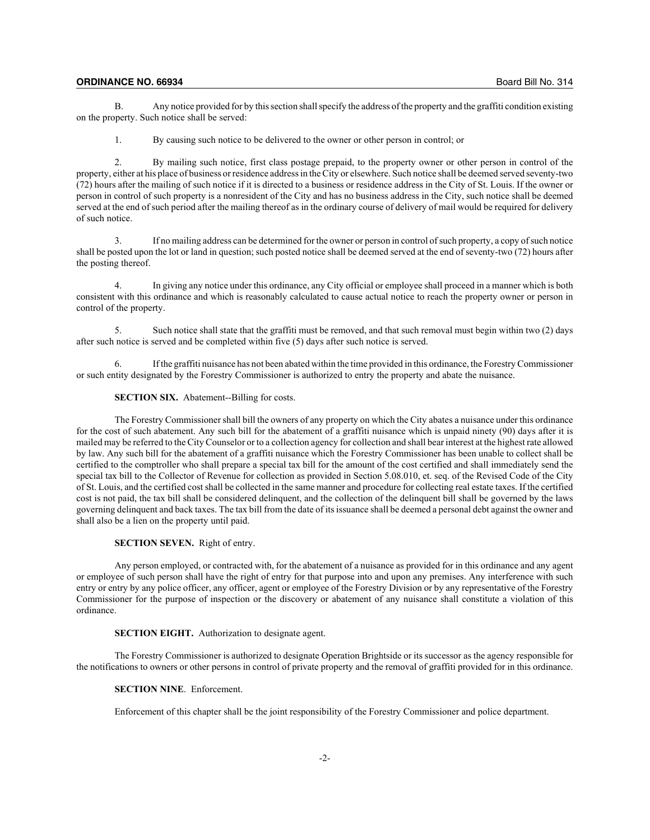#### **ORDINANCE NO. 66934** Board Bill No. 314

B. Any notice provided for by this section shall specify the address of the property and the graffiti condition existing on the property. Such notice shall be served:

1. By causing such notice to be delivered to the owner or other person in control; or

2. By mailing such notice, first class postage prepaid, to the property owner or other person in control of the property, either at his place of business or residence address in the City or elsewhere. Such notice shall be deemed served seventy-two (72) hours after the mailing of such notice if it is directed to a business or residence address in the City of St. Louis. If the owner or person in control of such property is a nonresident of the City and has no business address in the City, such notice shall be deemed served at the end of such period after the mailing thereof as in the ordinary course of delivery of mail would be required for delivery of such notice.

3. If no mailing address can be determined for the owner or person in control of such property, a copy of such notice shall be posted upon the lot or land in question; such posted notice shall be deemed served at the end of seventy-two (72) hours after the posting thereof.

4. In giving any notice under this ordinance, any City official or employee shall proceed in a manner which is both consistent with this ordinance and which is reasonably calculated to cause actual notice to reach the property owner or person in control of the property.

5. Such notice shall state that the graffiti must be removed, and that such removal must begin within two (2) days after such notice is served and be completed within five (5) days after such notice is served.

6. If the graffiti nuisance has not been abated within the time provided in this ordinance, the Forestry Commissioner or such entity designated by the Forestry Commissioner is authorized to entry the property and abate the nuisance.

### **SECTION SIX.** Abatement--Billing for costs.

The Forestry Commissioner shall bill the owners of any property on which the City abates a nuisance under this ordinance for the cost of such abatement. Any such bill for the abatement of a graffiti nuisance which is unpaid ninety (90) days after it is mailed may be referred to the City Counselor or to a collection agency for collection and shall bear interest at the highest rate allowed by law. Any such bill for the abatement of a graffiti nuisance which the Forestry Commissioner has been unable to collect shall be certified to the comptroller who shall prepare a special tax bill for the amount of the cost certified and shall immediately send the special tax bill to the Collector of Revenue for collection as provided in Section 5.08.010, et. seq. of the Revised Code of the City of St. Louis, and the certified cost shall be collected in the same manner and procedure for collecting real estate taxes. If the certified cost is not paid, the tax bill shall be considered delinquent, and the collection of the delinquent bill shall be governed by the laws governing delinquent and back taxes. The tax bill from the date of its issuance shall be deemed a personal debt against the owner and shall also be a lien on the property until paid.

### **SECTION SEVEN.** Right of entry.

Any person employed, or contracted with, for the abatement of a nuisance as provided for in this ordinance and any agent or employee of such person shall have the right of entry for that purpose into and upon any premises. Any interference with such entry or entry by any police officer, any officer, agent or employee of the Forestry Division or by any representative of the Forestry Commissioner for the purpose of inspection or the discovery or abatement of any nuisance shall constitute a violation of this ordinance.

### **SECTION EIGHT.** Authorization to designate agent.

The Forestry Commissioner is authorized to designate Operation Brightside or its successor as the agency responsible for the notifications to owners or other persons in control of private property and the removal of graffiti provided for in this ordinance.

### **SECTION NINE.** Enforcement.

Enforcement of this chapter shall be the joint responsibility of the Forestry Commissioner and police department.